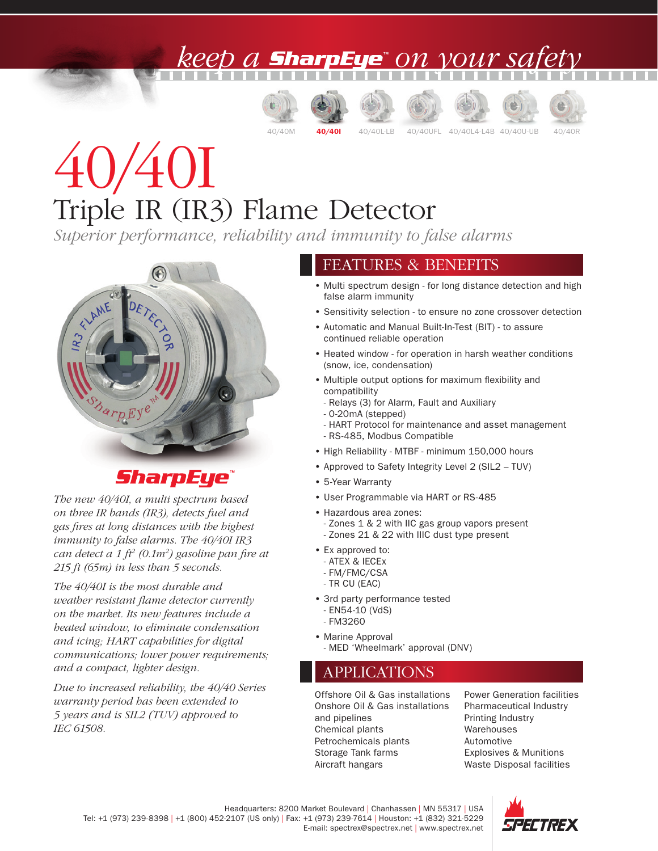### ) A **SharpEye**" ON VOUY SA,













# 40/40I Triple IR (IR3) Flame Detector

*Superior performance, reliability and immunity to false alarms*



### SharpEye

*The new 40/40I, a multi spectrum based on three IR bands (IR3), detects fuel and gas fires at long distances with the highest immunity to false alarms. The 40/40I IR3 can detect a 1 ft2 (0.1m2 ) gasoline pan fire at 215 ft (65m) in less than 5 seconds.*

*The 40/40I is the most durable and weather resistant flame detector currently on the market. Its new features include a heated window, to eliminate condensation and icing; HART capabilities for digital communications; lower power requirements; and a compact, lighter design.* 

*Due to increased reliability, the 40/40 Series warranty period has been extended to 5 years and is SIL2 (TUV) approved to IEC 61508.*

#### FEATURES & BENEFITS

- Multi spectrum design for long distance detection and high false alarm immunity
- Sensitivity selection to ensure no zone crossover detection
- Automatic and Manual Built-In-Test (BIT) to assure continued reliable operation
- Heated window for operation in harsh weather conditions (snow, ice, condensation)
- Multiple output options for maximum flexibility and compatibility
	- Relays (3) for Alarm, Fault and Auxiliary
	- 0-20mA (stepped)
	- HART Protocol for maintenance and asset management - RS-485, Modbus Compatible
- High Reliability MTBF minimum 150,000 hours
- Approved to Safety Integrity Level 2 (SIL2 TUV)
- 5-Year Warranty
- User Programmable via HART or RS-485
- Hazardous area zones:
- Zones 1 & 2 with IIC gas group vapors present - Zones 21 & 22 with IIIC dust type present
- Ex approved to:
	- ATEX & IECEx
	- FM/FMC/CSA
	- TR CU (EAC)
- 3rd party performance tested - EN54-10 (VdS) - FM3260
- 
- Marine Approval
	- MED 'Wheelmark' approval (DNV)

#### APPLICATIONS

Offshore Oil & Gas installations Onshore Oil & Gas installations and pipelines Chemical plants Petrochemicals plants Storage Tank farms Aircraft hangars

Power Generation facilities Pharmaceutical Industry Printing Industry Warehouses Automotive Explosives & Munitions Waste Disposal facilities